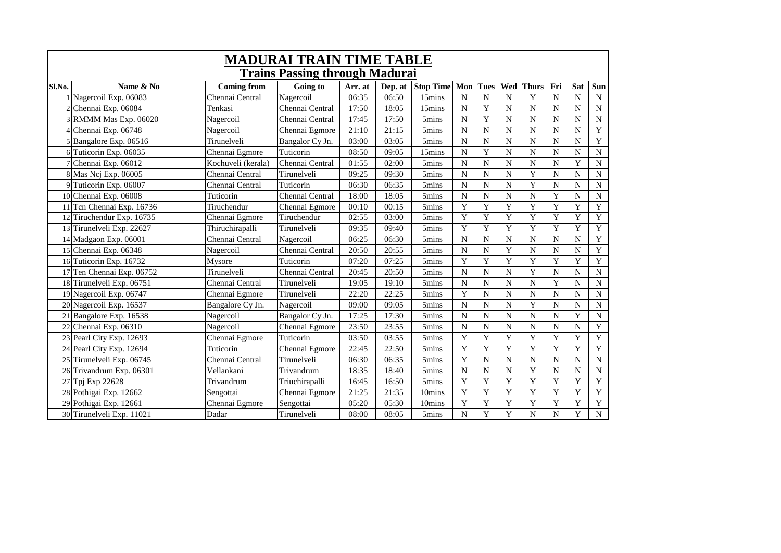|        |                           |                    | <b>MADURAI TRAIN TIME TABLE</b>       |         |         |                   |                |                |                |                |                |                    |                         |
|--------|---------------------------|--------------------|---------------------------------------|---------|---------|-------------------|----------------|----------------|----------------|----------------|----------------|--------------------|-------------------------|
|        |                           |                    | <b>Trains Passing through Madurai</b> |         |         |                   |                |                |                |                |                |                    |                         |
| Sl.No. | Name & No                 | <b>Coming from</b> | Going to                              | Arr. at | Dep. at | <b>Stop Time</b>  | Mon            | <b>Tues</b>    |                | Wed Thurs      | Fri            | Sat                | Sun                     |
|        | 1 Nagercoil Exp. 06083    | Chennai Central    | Nagercoil                             | 06:35   | 06:50   | 15mins            | $\mathbf N$    | $\mathbf N$    | $\overline{N}$ | Y              | $\mathbf N$    | N                  | ${\bf N}$               |
|        | 2 Chennai Exp. 06084      | Tenkasi            | Chennai Central                       | 17:50   | 18:05   | 15mins            | N              | Y              | $\mathbf N$    | $\mathbf N$    | $\mathbf N$    | N                  | ${\bf N}$               |
|        | RMMM Mas Exp. 06020       | Nagercoil          | Chennai Central                       | 17:45   | 17:50   | 5mins             | $\mathbf N$    | Y              | $\overline{N}$ | $\mathbf N$    | $\mathbf N$    | $\overline{\rm N}$ | ${\bf N}$               |
|        | Chennai Exp. 06748        | Nagercoil          | Chennai Egmore                        | 21:10   | 21:15   | 5mins             | $\mathbf N$    | $\overline{N}$ | $\mathbf N$    | $\mathbf N$    | $\mathbf N$    | N                  | $\mathbf Y$             |
|        | 5 Bangalore Exp. 06516    | Tirunelveli        | Bangalor Cy Jn.                       | 03:00   | 03:05   | 5mins             | N              | $\mathbf N$    | $\overline{N}$ | $\overline{N}$ | $\mathbf N$    | $\overline{\rm N}$ | $\overline{\mathbf{Y}}$ |
|        | 6 Tuticorin Exp. 06035    | Chennai Egmore     | Tuticorin                             | 08:50   | 09:05   | 15mins            | $\mathbf N$    | Y              | $\overline{N}$ | N              | $\overline{N}$ | N                  | $\overline{N}$          |
|        | 7 Chennai Exp. 06012      | Kochuveli (kerala) | Chennai Central                       | 01:55   | 02:00   | 5mins             | N              | $\mathbf N$    | $\mathbf N$    | $\mathbf N$    | $\mathbf N$    | Y                  | $\overline{\text{N}}$   |
|        | 8 Mas Ncj Exp. 06005      | Chennai Central    | Tirunelveli                           | 09:25   | 09:30   | 5mins             | N              | $\mathbf N$    | $\mathbf N$    | Y              | $\mathbf N$    | N                  | ${\bf N}$               |
|        | 9 Tuticorin Exp. 06007    | Chennai Central    | Tuticorin                             | 06:30   | 06:35   | 5mins             | $\mathbf N$    | ${\bf N}$      | $\mathbf N$    | $\mathbf Y$    | $\mathbf N$    | N                  | ${\bf N}$               |
|        | 10 Chennai Exp. 06008     | Tuticorin          | Chennai Central                       | 18:00   | 18:05   | 5mins             | N              | $\mathbf N$    | $\overline{N}$ | $\overline{N}$ | Y              | $\overline{N}$     | ${\bf N}$               |
|        | 11 Tcn Chennai Exp. 16736 | Tiruchendur        | Chennai Egmore                        | 00:10   | 00:15   | 5mins             | Y              | Y              | Y              | Y              | $\overline{Y}$ | Y                  | $\overline{Y}$          |
|        | 12 Tiruchendur Exp. 16735 | Chennai Egmore     | Tiruchendur                           | 02:55   | 03:00   | 5mins             | Y              | Y              | $\mathbf Y$    | Y              | Y              | Y                  | Y                       |
|        | 13 Tirunelveli Exp. 22627 | Thiruchirapalli    | Tirunelveli                           | 09:35   | 09:40   | 5mins             | Y              | Y              | Y              | Y              | Y              | Y                  | $\overline{Y}$          |
|        | 14 Madgaon Exp. 06001     | Chennai Central    | Nagercoil                             | 06:25   | 06:30   | 5 <sub>mins</sub> | N              | ${\bf N}$      | ${\bf N}$      | ${\bf N}$      | $\mathbf N$    | $\mathbf N$        | $\overline{\mathbf{Y}}$ |
|        | 15 Chennai Exp. 06348     | Nagercoil          | Chennai Central                       | 20:50   | 20:55   | 5mins             | $\overline{N}$ | $\overline{N}$ | Y              | $\overline{N}$ | $\mathbf N$    | $\overline{N}$     | $\overline{Y}$          |
|        | 16 Tuticorin Exp. 16732   | Mysore             | Tuticorin                             | 07:20   | 07:25   | 5mins             | Y              | Y              | Y              | Y              | $\overline{Y}$ | Y                  | Y                       |
|        | 17 Ten Chennai Exp. 06752 | Tirunelveli        | Chennai Central                       | 20:45   | 20:50   | 5mins             | $\mathbf N$    | $\overline{N}$ | $\mathbf N$    | $\overline{Y}$ | $\mathbf N$    | $\overline{\rm N}$ | $\overline{\text{N}}$   |
|        | 18 Tirunelveli Exp. 06751 | Chennai Central    | Tirunelveli                           | 19:05   | 19:10   | 5mins             | $\mathbf N$    | $\overline{N}$ | $\overline{N}$ | $\overline{N}$ | $\mathbf Y$    | $\overline{N}$     | ${\bf N}$               |
|        | 19 Nagercoil Exp. 06747   | Chennai Egmore     | Tirunelveli                           | 22:20   | 22:25   | 5mins             | Y              | ${\bf N}$      | ${\bf N}$      | $\overline{N}$ | $\mathbf N$    | $\mathbf N$        | ${\bf N}$               |
|        | 20 Nagercoil Exp. 16537   | Bangalore Cy Jn.   | Nagercoil                             | 09:00   | 09:05   | 5mins             | $\overline{N}$ | $\mathbf N$    | $\overline{N}$ | Y              | $\mathbf N$    | $\overline{N}$     | ${\bf N}$               |
|        | 21 Bangalore Exp. 16538   | Nagercoil          | Bangalor Cy Jn.                       | 17:25   | 17:30   | 5mins             | N              | $\mathbf N$    | $\mathbf N$    | $\overline{N}$ | ${\bf N}$      | Y                  | ${\bf N}$               |
|        | Chennai Exp. 06310        | Nagercoil          | Chennai Egmore                        | 23:50   | 23:55   | 5mins             | $\overline{N}$ | $\mathbf N$    | $\mathbf N$    | $\overline{N}$ | $\mathbf N$    | $\overline{N}$     | $\overline{Y}$          |
|        | 23 Pearl City Exp. 12693  | Chennai Egmore     | Tuticorin                             | 03:50   | 03:55   | 5mins             | Y              | Y              | Y              | Y              | Y              | Y                  | $\overline{Y}$          |
| 24     | Pearl City Exp. 12694     | Tuticorin          | Chennai Egmore                        | 22:45   | 22:50   | 5mins             | Y              | Y              | Y              | Y              | Y              | Y                  | $\mathbf Y$             |
|        | 25 Tirunelveli Exp. 06745 | Chennai Central    | Tirunelveli                           | 06:30   | 06:35   | 5mins             | Y              | $\mathbf N$    | $\overline{N}$ | $\mathbf N$    | $\mathbf N$    | $\overline{N}$     | ${\bf N}$               |
|        | 26 Trivandrum Exp. 06301  | Vellankani         | Trivandrum                            | 18:35   | 18:40   | 5mins             | $\mathbf N$    | $\mathbf N$    | $\mathbf N$    | Y              | N              | N                  | ${\bf N}$               |
|        | 27 Tpj Exp 22628          | Trivandrum         | Triuchirapalli                        | 16:45   | 16:50   | 5mins             | Y              | Y              | Y              | Y              | Y              | Y                  | $\mathbf Y$             |
|        | 28 Pothigai Exp. 12662    | Sengottai          | Chennai Egmore                        | 21:25   | 21:35   | 10mins            | Y              | Y              | Y              | Y              | Y              | Y                  | $\overline{Y}$          |
|        | 29 Pothigai Exp. 12661    | Chennai Egmore     | Sengottai                             | 05:20   | 05:30   | 10mins            | Y              | Y              | Y              | Y              | Y              | Y                  | $\overline{Y}$          |
|        | 30 Tirunelveli Exp. 11021 | Dadar              | Tirunelveli                           | 08:00   | 08:05   | 5mins             | $\overline{N}$ | $\mathbf Y$    | Y              | $\overline{N}$ | ${\bf N}$      | Y                  | $\overline{N}$          |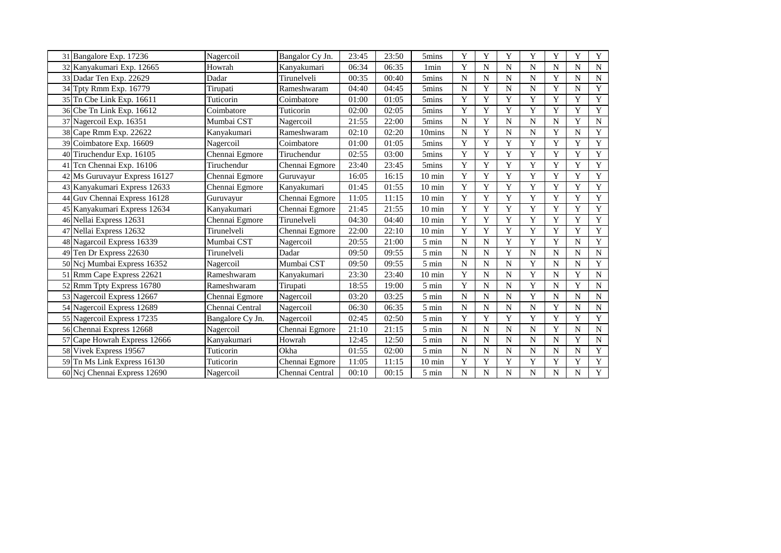| 31 Bangalore Exp. 17236       | Nagercoil        | Bangalor Cy Jn. | 23:45 | 23:50 | 5mins              | Y              | Y           | Y         | Y           | Y           | Y              | Y                       |
|-------------------------------|------------------|-----------------|-------|-------|--------------------|----------------|-------------|-----------|-------------|-------------|----------------|-------------------------|
| 32 Kanyakumari Exp. 12665     | Howrah           | Kanyakumari     | 06:34 | 06:35 | 1 <sub>min</sub>   | Y              | N           | N         | N           | N           | N              | ${\bf N}$               |
| Dadar Ten Exp. 22629<br>33    | Dadar            | Tirunelveli     | 00:35 | 00:40 | 5mins              | N              | $\mathbf N$ | N         | $\mathbf N$ | Y           | N              | ${\bf N}$               |
| Tpty Rmm Exp. 16779<br>34     | Tirupati         | Rameshwaram     | 04:40 | 04:45 | 5mins              | N              | Y           | N         | ${\bf N}$   | Y           | N              | $\overline{Y}$          |
| 35 Tn Cbe Link Exp. 16611     | Tuticorin        | Coimbatore      | 01:00 | 01:05 | 5mins              | Y              | Y           | Y         | Y           | Y           | Y              | $\mathbf Y$             |
| 36 Cbe Tn Link Exp. 16612     | Coimbatore       | Tuticorin       | 02:00 | 02:05 | 5mins              | Y              | Y           | Y         | Y           | Y           | Y              | $\overline{\mathbf{Y}}$ |
| 37 Nagercoil Exp. 16351       | Mumbai CST       | Nagercoil       | 21:55 | 22:00 | 5mins              | N              | Y           | N         | N           | N           | Y              | ${\bf N}$               |
| 38 Cape Rmm Exp. 22622        | Kanyakumari      | Rameshwaram     | 02:10 | 02:20 | 10mins             | N              | Y           | N         | ${\bf N}$   | Y           | N              | $\overline{Y}$          |
| 39 Coimbatore Exp. 16609      | Nagercoil        | Coimbatore      | 01:00 | 01:05 | 5mins              | Y              | Y           | Y         | Y           | $\mathbf Y$ | Y              | $\overline{Y}$          |
| Tiruchendur Exp. 16105<br>40  | Chennai Egmore   | Tiruchendur     | 02:55 | 03:00 | 5mins              | Y              | $\mathbf Y$ | Y         | Y           | Y           | Y              | $\overline{Y}$          |
| Tcn Chennai Exp. 16106<br>41  | Tiruchendur      | Chennai Egmore  | 23:40 | 23:45 | 5mins              | Y              | Y           | Y         | Y           | $\mathbf Y$ | Y              | $\overline{Y}$          |
| 42 Ms Guruvayur Express 16127 | Chennai Egmore   | Guruvayur       | 16:05 | 16:15 | $10 \text{ min}$   | Y              | Y           | Y         | Y           | Y           | Y              | $\mathbf Y$             |
| 43 Kanyakumari Express 12633  | Chennai Egmore   | Kanyakumari     | 01:45 | 01:55 | $10 \text{ min}$   | Y              | Y           | Y         | Y           | Y           | Y              | $\mathbf Y$             |
| 44 Guv Chennai Express 16128  | Guruvayur        | Chennai Egmore  | 11:05 | 11:15 | $10 \text{ min}$   | Y              | Y           | Y         | Y           | Y           | Y              | $\mathbf Y$             |
| 45 Kanyakumari Express 12634  | Kanvakumari      | Chennai Egmore  | 21:45 | 21:55 | $10 \text{ min}$   | Y              | Y           | Y         | Y           | Y           | Y              | $\mathbf Y$             |
| 46 Nellai Express 12631       | Chennai Egmore   | Tirunelveli     | 04:30 | 04:40 | $10 \text{ min}$   | Y              | Y           | Y         | Y           | Y           | Y              | $\mathbf Y$             |
| Nellai Express 12632<br>47    | Tirunelveli      | Chennai Egmore  | 22:00 | 22:10 | $10 \text{ min}$   | Y              | Y           | Y         | Y           | Y           | Y              | $\mathbf Y$             |
| 48 Nagarcoil Express 16339    | Mumbai CST       | Nagercoil       | 20:55 | 21:00 | 5 min              | N              | N           | Y         | Y           | Y           | N              | $\overline{Y}$          |
| Ten Dr Express 22630<br>49    | Tirunelveli      | Dadar           | 09:50 | 09:55 | $5 \text{ min}$    | N              | N           | Y         | $\mathbf N$ | $\mathbf N$ | N              | $\overline{N}$          |
| 50 Ncj Mumbai Express 16352   | Nagercoil        | Mumbai CST      | 09:50 | 09:55 | $5 \text{ min}$    | N              | N           | N         | Y           | N           | N              | $\overline{Y}$          |
| 51 Rmm Cape Express 22621     | Rameshwaram      | Kanyakumari     | 23:30 | 23:40 | $10 \text{ min}$   | Y              | N           | N         | Y           | N           | Y              | ${\bf N}$               |
| 52 Rmm Tpty Express 16780     | Rameshwaram      | Tirupati        | 18:55 | 19:00 | 5 min              | Y              | N           | N         | Y           | N           | Y              | ${\bf N}$               |
| 53 Nagercoil Express 12667    | Chennai Egmore   | Nagercoil       | 03:20 | 03:25 | $5 \text{ min}$    | N              | N           | N         | Y           | N           | N              | ${\bf N}$               |
| 54 Nagercoil Express 12689    | Chennai Central  | Nagercoil       | 06:30 | 06:35 | $5 \text{ min}$    | N              | $\mathbf N$ | N         | ${\bf N}$   | Y           | N              | ${\bf N}$               |
| 55 Nagercoil Express 17235    | Bangalore Cy Jn. | Nagercoil       | 02:45 | 02:50 | $5 \text{ min}$    | Y              | Y           | Y         | Y           | Y           | Y              | $\mathbf Y$             |
| 56 Chennai Express 12668      | Nagercoil        | Chennai Egmore  | 21:10 | 21:15 | 5 min              | $\mathbf N$    | $\mathbf N$ | N         | N           | Y           | N              | ${\bf N}$               |
| 57 Cape Howrah Express 12666  | Kanyakumari      | Howrah          | 12:45 | 12:50 | $5 \text{ min}$    | N              | N           | N         | ${\bf N}$   | N           | Y              | ${\bf N}$               |
| 58 Vivek Express 19567        | Tuticorin        | Okha            | 01:55 | 02:00 | $5 \ \mathrm{min}$ | N              | N           | N         | $\mathbf N$ | N           | N              | $\overline{Y}$          |
| 59 Tn Ms Link Express 16130   | Tuticorin        | Chennai Egmore  | 11:05 | 11:15 | $10 \text{ min}$   | Y              | Y           | Y         | $\mathbf Y$ | Y           | Y              | $\overline{Y}$          |
| 60 Ncj Chennai Express 12690  | Nagercoil        | Chennai Central | 00:10 | 00:15 | 5 min              | $\overline{N}$ | ${\bf N}$   | ${\bf N}$ | ${\bf N}$   | $\mathbf N$ | $\overline{N}$ | $\overline{Y}$          |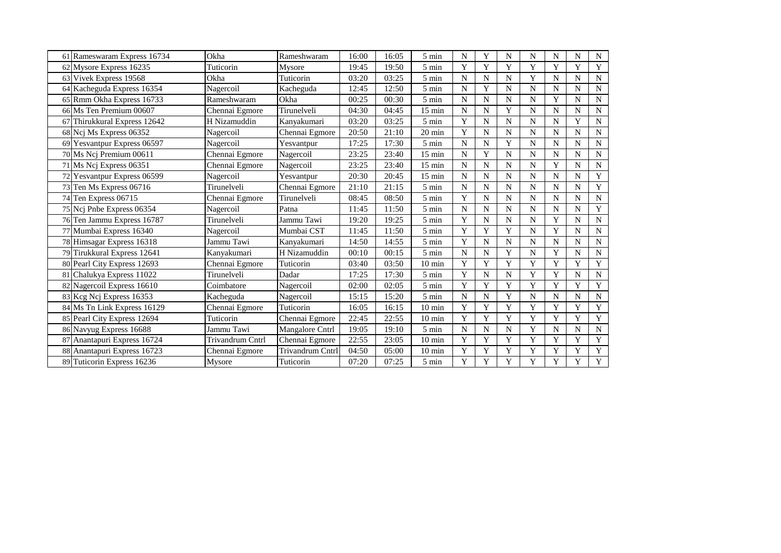| 61 Rameswaram Express 16734     | Okha             | Rameshwaram      | 16:00 | 16:05 | 5 min              | N | Y           | N           | N           | N           | N           | N                     |
|---------------------------------|------------------|------------------|-------|-------|--------------------|---|-------------|-------------|-------------|-------------|-------------|-----------------------|
| 62 Mysore Express 16235         | Tuticorin        | Mysore           | 19:45 | 19:50 | 5 min              | Y | Y           | Y           | Y           | Y           | Y           | $\mathbf Y$           |
| 63 Vivek Express 19568          | Okha             | Tuticorin        | 03:20 | 03:25 | $5 \text{ min}$    | N | $\mathbf N$ | $\mathbf N$ | Y           | N           | N           | ${\bf N}$             |
| 64 Kacheguda Express 16354      | Nagercoil        | Kacheguda        | 12:45 | 12:50 | $5 \ \mathrm{min}$ | N | Y           | N           | N           | N           | N           | ${\bf N}$             |
| 65 Rmm Okha Express 16733       | Rameshwaram      | Okha             | 00:25 | 00:30 | 5 min              | N | N           | N           | N           | Y           | N           | ${\bf N}$             |
| 66 Ms Ten Premium 00607         | Chennai Egmore   | Tirunelveli      | 04:30 | 04:45 | $15 \text{ min}$   | N | N           | Y           | N           | N           | N           | $\mathbf N$           |
| Thirukkural Express 12642<br>67 | H Nizamuddin     | Kanyakumari      | 03:20 | 03:25 | $5 \text{ min}$    | Y | N           | $\mathbf N$ | N           | N           | Y           | $\mathbf N$           |
| 68 Ncj Ms Express 06352         | Nagercoil        | Chennai Egmore   | 20:50 | 21:10 | $20 \text{ min}$   | Y | N           | N           | N           | N           | N           | $\mathbf N$           |
| 69 Yesvantpur Express 06597     | Nagercoil        | Yesvantpur       | 17:25 | 17:30 | 5 min              | N | N           | Y           | ${\bf N}$   | N           | N           | $\overline{\text{N}}$ |
| 70 Ms Ncj Premium 00611         | Chennai Egmore   | Nagercoil        | 23:25 | 23:40 | $15$ min           | N | Y           | $\mathbf N$ | N           | N           | N           | ${\bf N}$             |
| 71 Ms Ncj Express 06351         | Chennai Egmore   | Nagercoil        | 23:25 | 23:40 | $15 \text{ min}$   | N | $\mathbf N$ | $\mathbf N$ | N           | Y           | N           | ${\bf N}$             |
| 72 Yesvantpur Express 06599     | Nagercoil        | Yesvantpur       | 20:30 | 20:45 | $15 \text{ min}$   | N | N           | $\mathbf N$ | N           | N           | N           | $\overline{Y}$        |
| Ten Ms Express 06716<br>73      | Tirunelveli      | Chennai Egmore   | 21:10 | 21:15 | 5 min              | N | N           | N           | N           | $\mathbf N$ | N           | $\mathbf Y$           |
| Ten Express 06715<br>74         | Chennai Egmore   | Tirunelveli      | 08:45 | 08:50 | $5 \text{ min}$    | Y | N           | N           | N           | N           | N           | ${\bf N}$             |
| 75 Ncj Pnbe Express 06354       | Nagercoil        | Patna            | 11:45 | 11:50 | 5 min              | N | $\mathbf N$ | $\mathbf N$ | $\mathbf N$ | N           | N           | $\mathbf Y$           |
| 76 Ten Jammu Express 16787      | Tirunelveli      | Jammu Tawi       | 19:20 | 19:25 | 5 min              | Y | $\mathbf N$ | $\mathbf N$ | $\mathbf N$ | Y           | N           | ${\bf N}$             |
| 77 Mumbai Express 16340         | Nagercoil        | Mumbai CST       | 11:45 | 11:50 | $5 \text{ min}$    | Y | Y           | Y           | $\mathbf N$ | Y           | N           | ${\bf N}$             |
| 78 Himsagar Express 16318       | Jammu Tawi       | Kanyakumari      | 14:50 | 14:55 | 5 min              | Y | N           | ${\bf N}$   | N           | N           | N           | ${\bf N}$             |
| 79 Tirukkural Express 12641     | Kanyakumari      | H Nizamuddin     | 00:10 | 00:15 | $5 \text{ min}$    | N | N           | Y           | N           | Y           | N           | ${\bf N}$             |
| 80 Pearl City Express 12693     | Chennai Egmore   | Tuticorin        | 03:40 | 03:50 | $10 \text{ min}$   | Y | Y           | Y           | Y           | Y           | Y           | $\mathbf Y$           |
| 81 Chalukya Express 11022       | Tirunelveli      | Dadar            | 17:25 | 17:30 | $5 \text{ min}$    | Y | N           | N           | Y           | Y           | N           | ${\bf N}$             |
| 82 Nagercoil Express 16610      | Coimbatore       | Nagercoil        | 02:00 | 02:05 | $5 \text{ min}$    | Y | Y           | Y           | Y           | Y           | Y           | $\mathbf Y$           |
| 83 Keg Nej Express 16353        | Kacheguda        | Nagercoil        | 15:15 | 15:20 | $5 \text{ min}$    | N | N           | Y           | N           | N           | N           | $\mathbf N$           |
| 84 Ms Tn Link Express 16129     | Chennai Egmore   | Tuticorin        | 16:05 | 16:15 | $10 \text{ min}$   | Y | Y           | Y           | Y           | Y           | Y           | $\mathbf Y$           |
| 85 Pearl City Express 12694     | Tuticorin        | Chennai Egmore   | 22:45 | 22:55 | $10 \text{ min}$   | Y | Y           | Y           | Y           | Y           | Y           | Y                     |
| 86 Navyug Express 16688         | Jammu Tawi       | Mangalore Cntrl  | 19:05 | 19:10 | 5 min              | N | $\mathbf N$ | $\mathbf N$ | Y           | N           | N           | ${\bf N}$             |
| 87 Anantapuri Express 16724     | Trivandrum Cntrl | Chennai Egmore   | 22:55 | 23:05 | $10 \text{ min}$   | Y | Y           | Y           | Y           | Y           | Y           | $\mathbf Y$           |
| 88 Anantapuri Express 16723     | Chennai Egmore   | Trivandrum Cntrl | 04:50 | 05:00 | $10 \text{ min}$   | Y | Y           | Y           | Y           | Y           | Y           | $\mathbf Y$           |
| 89 Tuticorin Express 16236      | Mysore           | Tuticorin        | 07:20 | 07:25 | 5 min              | Y | $\mathbf Y$ | Y           | Y           | Y           | $\mathbf Y$ | $\overline{Y}$        |